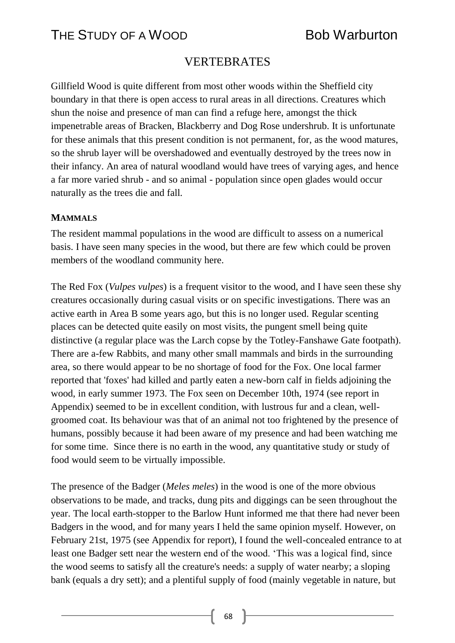## VERTEBRATES

Gillfield Wood is quite different from most other woods within the Sheffield city boundary in that there is open access to rural areas in all directions. Creatures which shun the noise and presence of man can find a refuge here, amongst the thick impenetrable areas of Bracken, Blackberry and Dog Rose undershrub. It is unfortunate for these animals that this present condition is not permanent, for, as the wood matures, so the shrub layer will be overshadowed and eventually destroyed by the trees now in their infancy. An area of natural woodland would have trees of varying ages, and hence a far more varied shrub - and so animal - population since open glades would occur naturally as the trees die and fall.

#### **MAMMALS**

The resident mammal populations in the wood are difficult to assess on a numerical basis. I have seen many species in the wood, but there are few which could be proven members of the woodland community here.

The Red Fox (*Vulpes vulpes*) is a frequent visitor to the wood, and I have seen these shy creatures occasionally during casual visits or on specific investigations. There was an active earth in Area B some years ago, but this is no longer used. Regular scenting places can be detected quite easily on most visits, the pungent smell being quite distinctive (a regular place was the Larch copse by the Totley-Fanshawe Gate footpath). There are a-few Rabbits, and many other small mammals and birds in the surrounding area, so there would appear to be no shortage of food for the Fox. One local farmer reported that 'foxes' had killed and partly eaten a new-born calf in fields adjoining the wood, in early summer 1973. The Fox seen on December 10th, 1974 (see report in Appendix) seemed to be in excellent condition, with lustrous fur and a clean, wellgroomed coat. Its behaviour was that of an animal not too frightened by the presence of humans, possibly because it had been aware of my presence and had been watching me for some time. Since there is no earth in the wood, any quantitative study or study of food would seem to be virtually impossible.

The presence of the Badger (*Meles meles*) in the wood is one of the more obvious observations to be made, and tracks, dung pits and diggings can be seen throughout the year. The local earth-stopper to the Barlow Hunt informed me that there had never been Badgers in the wood, and for many years I held the same opinion myself. However, on February 21st, 1975 (see Appendix for report), I found the well-concealed entrance to at least one Badger sett near the western end of the wood. 'This was a logical find, since the wood seems to satisfy all the creature's needs: a supply of water nearby; a sloping bank (equals a dry sett); and a plentiful supply of food (mainly vegetable in nature, but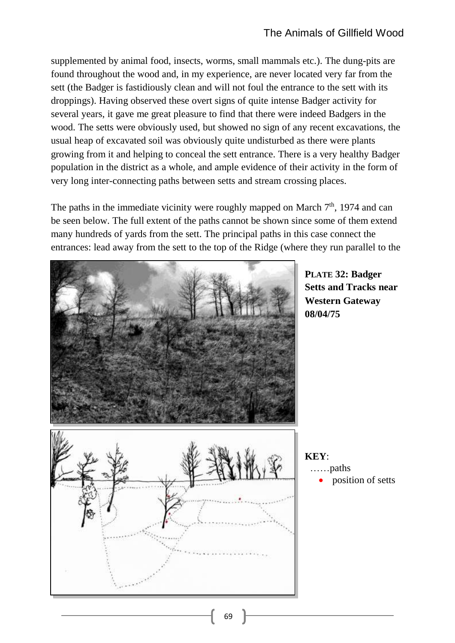supplemented by animal food, insects, worms, small mammals etc.). The dung-pits are found throughout the wood and, in my experience, are never located very far from the sett (the Badger is fastidiously clean and will not foul the entrance to the sett with its droppings). Having observed these overt signs of quite intense Badger activity for several years, it gave me great pleasure to find that there were indeed Badgers in the wood. The setts were obviously used, but showed no sign of any recent excavations, the usual heap of excavated soil was obviously quite undisturbed as there were plants growing from it and helping to conceal the sett entrance. There is a very healthy Badger population in the district as a whole, and ample evidence of their activity in the form of very long inter-connecting paths between setts and stream crossing places.

The paths in the immediate vicinity were roughly mapped on March  $7<sup>th</sup>$ , 1974 and can be seen below. The full extent of the paths cannot be shown since some of them extend many hundreds of yards from the sett. The principal paths in this case connect the entrances: lead away from the sett to the top of the Ridge (where they run parallel to the



**PLATE 32: Badger Setts and Tracks near Western Gateway 08/04/75**

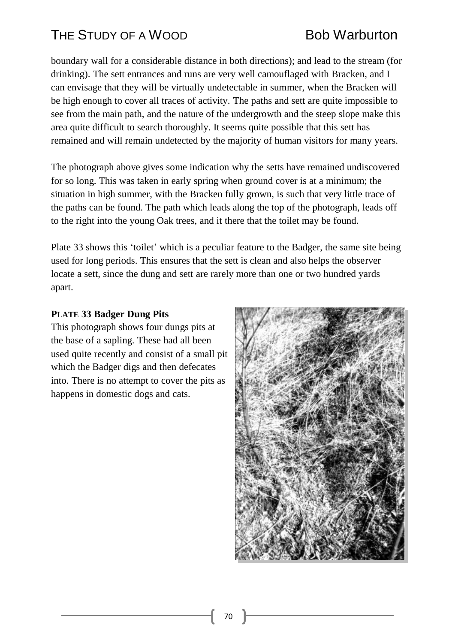boundary wall for a considerable distance in both directions); and lead to the stream (for drinking). The sett entrances and runs are very well camouflaged with Bracken, and I can envisage that they will be virtually undetectable in summer, when the Bracken will be high enough to cover all traces of activity. The paths and sett are quite impossible to see from the main path, and the nature of the undergrowth and the steep slope make this area quite difficult to search thoroughly. It seems quite possible that this sett has remained and will remain undetected by the majority of human visitors for many years.

The photograph above gives some indication why the setts have remained undiscovered for so long. This was taken in early spring when ground cover is at a minimum; the situation in high summer, with the Bracken fully grown, is such that very little trace of the paths can be found. The path which leads along the top of the photograph, leads off to the right into the young Oak trees, and it there that the toilet may be found.

Plate 33 shows this 'toilet' which is a peculiar feature to the Badger, the same site being used for long periods. This ensures that the sett is clean and also helps the observer locate a sett, since the dung and sett are rarely more than one or two hundred yards apart.

### **PLATE 33 Badger Dung Pits**

This photograph shows four dungs pits at the base of a sapling. These had all been used quite recently and consist of a small pit which the Badger digs and then defecates into. There is no attempt to cover the pits as happens in domestic dogs and cats.

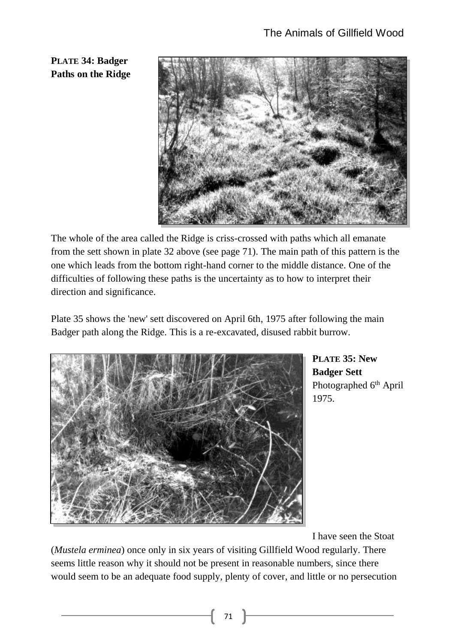**PLATE 34: Badger Paths on the Ridge**



The whole of the area called the Ridge is criss-crossed with paths which all emanate from the sett shown in plate 32 above (see page 71). The main path of this pattern is the one which leads from the bottom right-hand corner to the middle distance. One of the difficulties of following these paths is the uncertainty as to how to interpret their direction and significance.

Plate 35 shows the 'new' sett discovered on April 6th, 1975 after following the main Badger path along the Ridge. This is a re-excavated, disused rabbit burrow.



**PLATE 35: New Badger Sett** Photographed 6<sup>th</sup> April 1975.

I have seen the Stoat

(*Mustela erminea*) once only in six years of visiting Gillfield Wood regularly. There seems little reason why it should not be present in reasonable numbers, since there would seem to be an adequate food supply, plenty of cover, and little or no persecution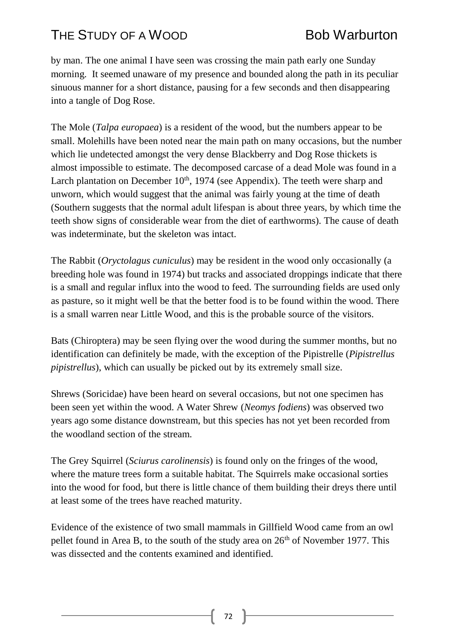by man. The one animal I have seen was crossing the main path early one Sunday morning. It seemed unaware of my presence and bounded along the path in its peculiar sinuous manner for a short distance, pausing for a few seconds and then disappearing into a tangle of Dog Rose.

The Mole (*Talpa europaea*) is a resident of the wood, but the numbers appear to be small. Molehills have been noted near the main path on many occasions, but the number which lie undetected amongst the very dense Blackberry and Dog Rose thickets is almost impossible to estimate. The decomposed carcase of a dead Mole was found in a Larch plantation on December  $10<sup>th</sup>$ , 1974 (see Appendix). The teeth were sharp and unworn, which would suggest that the animal was fairly young at the time of death (Southern suggests that the normal adult lifespan is about three years, by which time the teeth show signs of considerable wear from the diet of earthworms). The cause of death was indeterminate, but the skeleton was intact.

The Rabbit (*Oryctolagus cuniculus*) may be resident in the wood only occasionally (a breeding hole was found in 1974) but tracks and associated droppings indicate that there is a small and regular influx into the wood to feed. The surrounding fields are used only as pasture, so it might well be that the better food is to be found within the wood. There is a small warren near Little Wood, and this is the probable source of the visitors.

Bats (Chiroptera) may be seen flying over the wood during the summer months, but no identification can definitely be made, with the exception of the Pipistrelle (*Pipistrellus pipistrellus*), which can usually be picked out by its extremely small size.

Shrews (Soricidae) have been heard on several occasions, but not one specimen has been seen yet within the wood. A Water Shrew (*Neomys fodiens*) was observed two years ago some distance downstream, but this species has not yet been recorded from the woodland section of the stream.

The Grey Squirrel (*Sciurus carolinensis*) is found only on the fringes of the wood, where the mature trees form a suitable habitat. The Squirrels make occasional sorties into the wood for food, but there is little chance of them building their dreys there until at least some of the trees have reached maturity.

Evidence of the existence of two small mammals in Gillfield Wood came from an owl pellet found in Area B, to the south of the study area on  $26<sup>th</sup>$  of November 1977. This was dissected and the contents examined and identified.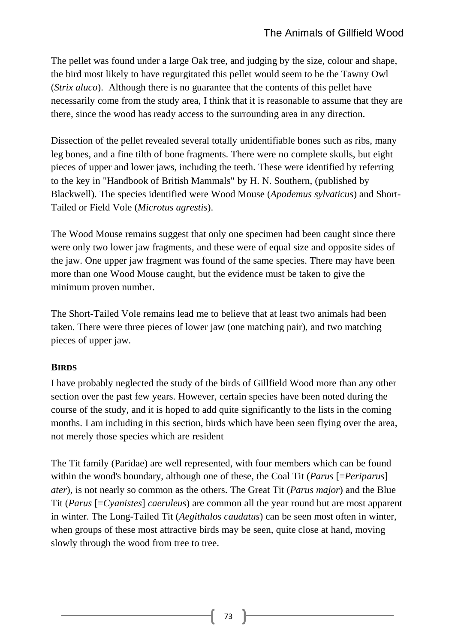The pellet was found under a large Oak tree, and judging by the size, colour and shape, the bird most likely to have regurgitated this pellet would seem to be the Tawny Owl (*Strix aluco*). Although there is no guarantee that the contents of this pellet have necessarily come from the study area, I think that it is reasonable to assume that they are there, since the wood has ready access to the surrounding area in any direction.

Dissection of the pellet revealed several totally unidentifiable bones such as ribs, many leg bones, and a fine tilth of bone fragments. There were no complete skulls, but eight pieces of upper and lower jaws, including the teeth. These were identified by referring to the key in "Handbook of British Mammals" by H. N. Southern, (published by Blackwell). The species identified were Wood Mouse (*Apodemus sylvaticus*) and Short-Tailed or Field Vole (*Microtus agrestis*).

The Wood Mouse remains suggest that only one specimen had been caught since there were only two lower jaw fragments, and these were of equal size and opposite sides of the jaw. One upper jaw fragment was found of the same species. There may have been more than one Wood Mouse caught, but the evidence must be taken to give the minimum proven number.

The Short-Tailed Vole remains lead me to believe that at least two animals had been taken. There were three pieces of lower jaw (one matching pair), and two matching pieces of upper jaw.

### **BIRDS**

I have probably neglected the study of the birds of Gillfield Wood more than any other section over the past few years. However, certain species have been noted during the course of the study, and it is hoped to add quite significantly to the lists in the coming months. I am including in this section, birds which have been seen flying over the area, not merely those species which are resident

The Tit family (Paridae) are well represented, with four members which can be found within the wood's boundary, although one of these, the Coal Tit (*Parus* [=*Periparus*] *ater*), is not nearly so common as the others. The Great Tit (*Parus major*) and the Blue Tit (*Parus* [=*Cyanistes*] *caeruleus*) are common all the year round but are most apparent in winter. The Long-Tailed Tit (*Aegithalos caudatus*) can be seen most often in winter, when groups of these most attractive birds may be seen, quite close at hand, moving slowly through the wood from tree to tree.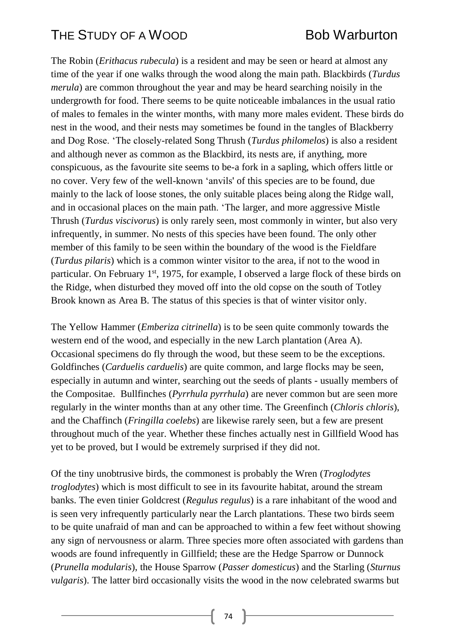The Robin (*Erithacus rubecula*) is a resident and may be seen or heard at almost any time of the year if one walks through the wood along the main path. Blackbirds (*Turdus merula*) are common throughout the year and may be heard searching noisily in the undergrowth for food. There seems to be quite noticeable imbalances in the usual ratio of males to females in the winter months, with many more males evident. These birds do nest in the wood, and their nests may sometimes be found in the tangles of Blackberry and Dog Rose. 'The closely-related Song Thrush (*Turdus philomelos*) is also a resident and although never as common as the Blackbird, its nests are, if anything, more conspicuous, as the favourite site seems to be-a fork in a sapling, which offers little or no cover. Very few of the well-known 'anvils' of this species are to be found, due mainly to the lack of loose stones, the only suitable places being along the Ridge wall, and in occasional places on the main path. 'The larger, and more aggressive Mistle Thrush (*Turdus viscivorus*) is only rarely seen, most commonly in winter, but also very infrequently, in summer. No nests of this species have been found. The only other member of this family to be seen within the boundary of the wood is the Fieldfare (*Turdus pilaris*) which is a common winter visitor to the area, if not to the wood in particular. On February 1<sup>st</sup>, 1975, for example, I observed a large flock of these birds on the Ridge, when disturbed they moved off into the old copse on the south of Totley Brook known as Area B. The status of this species is that of winter visitor only.

The Yellow Hammer (*Emberiza citrinella*) is to be seen quite commonly towards the western end of the wood, and especially in the new Larch plantation (Area A). Occasional specimens do fly through the wood, but these seem to be the exceptions. Goldfinches (*Carduelis carduelis*) are quite common, and large flocks may be seen, especially in autumn and winter, searching out the seeds of plants - usually members of the Compositae. Bullfinches (*Pyrrhula pyrrhula*) are never common but are seen more regularly in the winter months than at any other time. The Greenfinch (*Chloris chloris*), and the Chaffinch (*Fringilla coelebs*) are likewise rarely seen, but a few are present throughout much of the year. Whether these finches actually nest in Gillfield Wood has yet to be proved, but I would be extremely surprised if they did not.

Of the tiny unobtrusive birds, the commonest is probably the Wren (*Troglodytes troglodytes*) which is most difficult to see in its favourite habitat, around the stream banks. The even tinier Goldcrest (*Regulus regulus*) is a rare inhabitant of the wood and is seen very infrequently particularly near the Larch plantations. These two birds seem to be quite unafraid of man and can be approached to within a few feet without showing any sign of nervousness or alarm. Three species more often associated with gardens than woods are found infrequently in Gillfield; these are the Hedge Sparrow or Dunnock (*Prunella modularis*), the House Sparrow (*Passer domesticus*) and the Starling (*Sturnus vulgaris*). The latter bird occasionally visits the wood in the now celebrated swarms but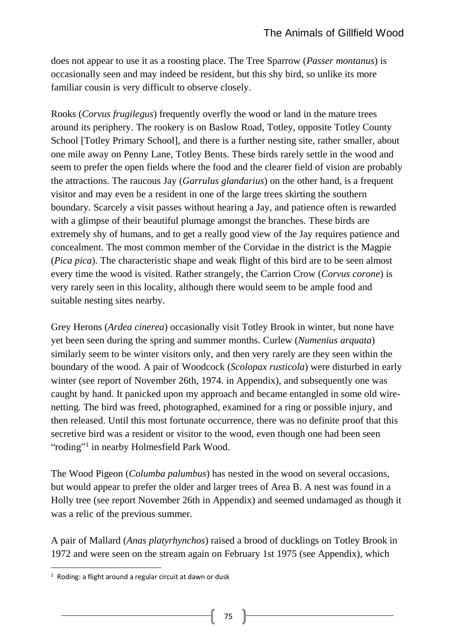does not appear to use it as a roosting place. The Tree Sparrow (*Passer montanus*) is occasionally seen and may indeed be resident, but this shy bird, so unlike its more familiar cousin is very difficult to observe closely.

Rooks (*Corvus frugilegus*) frequently overfly the wood or land in the mature trees around its periphery. The rookery is on Baslow Road, Totley, opposite Totley County School [Totley Primary School], and there is a further nesting site, rather smaller, about one mile away on Penny Lane, Totley Bents. These birds rarely settle in the wood and seem to prefer the open fields where the food and the clearer field of vision are probably the attractions. The raucous Jay (*Garrulus glandarius*) on the other hand, is a frequent visitor and may even be a resident in one of the large trees skirting the southern boundary. Scarcely a visit passes without hearing a Jay, and patience often is rewarded with a glimpse of their beautiful plumage amongst the branches. These birds are extremely shy of humans, and to get a really good view of the Jay requires patience and concealment. The most common member of the Corvidae in the district is the Magpie (*Pica pica*). The characteristic shape and weak flight of this bird are to be seen almost every time the wood is visited. Rather strangely, the Carrion Crow (*Corvus corone*) is very rarely seen in this locality, although there would seem to be ample food and suitable nesting sites nearby.

Grey Herons (*Ardea cinerea*) occasionally visit Totley Brook in winter, but none have yet been seen during the spring and summer months. Curlew (*Numenius arquata*) similarly seem to be winter visitors only, and then very rarely are they seen within the boundary of the wood. A pair of Woodcock (*Scolopax rusticola*) were disturbed in early winter (see report of November 26th, 1974. in Appendix), and subsequently one was caught by hand. It panicked upon my approach and became entangled in some old wirenetting. The bird was freed, photographed, examined for a ring or possible injury, and then released. Until this most fortunate occurrence, there was no definite proof that this secretive bird was a resident or visitor to the wood, even though one had been seen "roding"<sup>1</sup> in nearby Holmesfield Park Wood.

The Wood Pigeon (*Columba palumbus*) has nested in the wood on several occasions, but would appear to prefer the older and larger trees of Area B. A nest was found in a Holly tree (see report November 26th in Appendix) and seemed undamaged as though it was a relic of the previous summer.

A pair of Mallard (*Anas platyrhynchos*) raised a brood of ducklings on Totley Brook in 1972 and were seen on the stream again on February 1st 1975 (see Appendix), which

 $1$  Roding: a flight around a regular circuit at dawn or dusk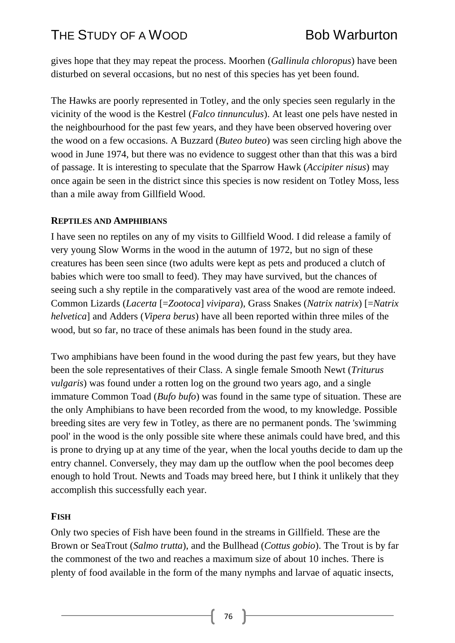gives hope that they may repeat the process. Moorhen (*Gallinula chloropus*) have been disturbed on several occasions, but no nest of this species has yet been found.

The Hawks are poorly represented in Totley, and the only species seen regularly in the vicinity of the wood is the Kestrel (*Falco tinnunculus*). At least one pels have nested in the neighbourhood for the past few years, and they have been observed hovering over the wood on a few occasions. A Buzzard (*Buteo buteo*) was seen circling high above the wood in June 1974, but there was no evidence to suggest other than that this was a bird of passage. It is interesting to speculate that the Sparrow Hawk (*Accipiter nisus*) may once again be seen in the district since this species is now resident on Totley Moss, less than a mile away from Gillfield Wood.

#### **REPTILES AND AMPHIBIANS**

I have seen no reptiles on any of my visits to Gillfield Wood. I did release a family of very young Slow Worms in the wood in the autumn of 1972, but no sign of these creatures has been seen since (two adults were kept as pets and produced a clutch of babies which were too small to feed). They may have survived, but the chances of seeing such a shy reptile in the comparatively vast area of the wood are remote indeed. Common Lizards (*Lacerta* [=*Zootoca*] *vivipara*), Grass Snakes (*Natrix natrix*) [=*Natrix helvetica*] and Adders (*Vipera berus*) have all been reported within three miles of the wood, but so far, no trace of these animals has been found in the study area.

Two amphibians have been found in the wood during the past few years, but they have been the sole representatives of their Class. A single female Smooth Newt (*Triturus vulgaris*) was found under a rotten log on the ground two years ago, and a single immature Common Toad (*Bufo bufo*) was found in the same type of situation. These are the only Amphibians to have been recorded from the wood, to my knowledge. Possible breeding sites are very few in Totley, as there are no permanent ponds. The 'swimming pool' in the wood is the only possible site where these animals could have bred, and this is prone to drying up at any time of the year, when the local youths decide to dam up the entry channel. Conversely, they may dam up the outflow when the pool becomes deep enough to hold Trout. Newts and Toads may breed here, but I think it unlikely that they accomplish this successfully each year.

### **FISH**

Only two species of Fish have been found in the streams in Gillfield. These are the Brown or SeaTrout (*Salmo trutta*), and the Bullhead (*Cottus gobio*). The Trout is by far the commonest of the two and reaches a maximum size of about 10 inches. There is plenty of food available in the form of the many nymphs and larvae of aquatic insects,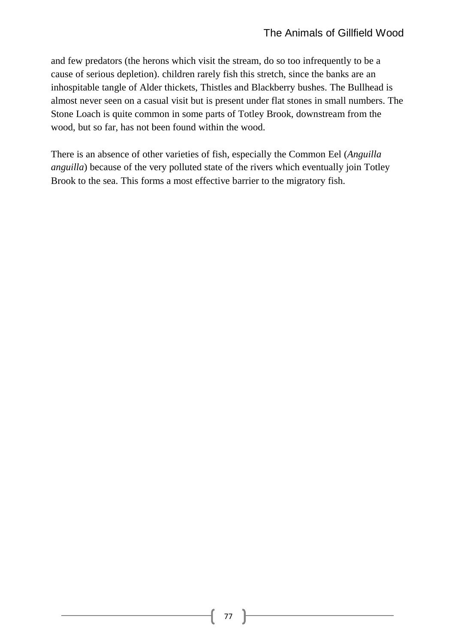and few predators (the herons which visit the stream, do so too infrequently to be a cause of serious depletion). children rarely fish this stretch, since the banks are an inhospitable tangle of Alder thickets, Thistles and Blackberry bushes. The Bullhead is almost never seen on a casual visit but is present under flat stones in small numbers. The Stone Loach is quite common in some parts of Totley Brook, downstream from the wood, but so far, has not been found within the wood.

There is an absence of other varieties of fish, especially the Common Eel (*Anguilla anguilla*) because of the very polluted state of the rivers which eventually join Totley Brook to the sea. This forms a most effective barrier to the migratory fish.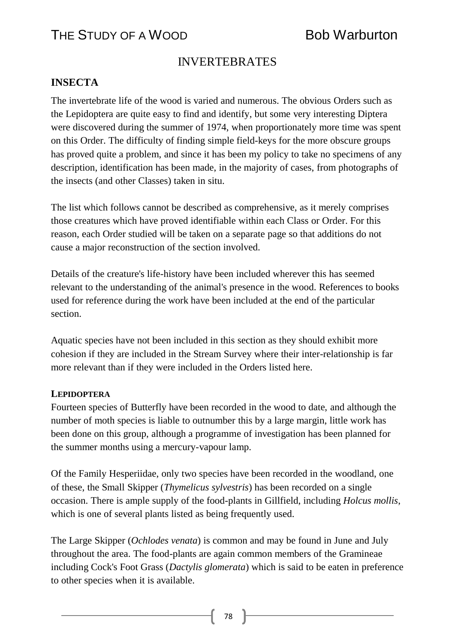## THE STUDY OF A WOOD BOD BOB Warburton

### INVERTEBRATES

### **INSECTA**

The invertebrate life of the wood is varied and numerous. The obvious Orders such as the Lepidoptera are quite easy to find and identify, but some very interesting Diptera were discovered during the summer of 1974, when proportionately more time was spent on this Order. The difficulty of finding simple field-keys for the more obscure groups has proved quite a problem, and since it has been my policy to take no specimens of any description, identification has been made, in the majority of cases, from photographs of the insects (and other Classes) taken in situ.

The list which follows cannot be described as comprehensive, as it merely comprises those creatures which have proved identifiable within each Class or Order. For this reason, each Order studied will be taken on a separate page so that additions do not cause a major reconstruction of the section involved.

Details of the creature's life-history have been included wherever this has seemed relevant to the understanding of the animal's presence in the wood. References to books used for reference during the work have been included at the end of the particular section.

Aquatic species have not been included in this section as they should exhibit more cohesion if they are included in the Stream Survey where their inter-relationship is far more relevant than if they were included in the Orders listed here.

#### **LEPIDOPTERA**

Fourteen species of Butterfly have been recorded in the wood to date, and although the number of moth species is liable to outnumber this by a large margin, little work has been done on this group, although a programme of investigation has been planned for the summer months using a mercury-vapour lamp.

Of the Family Hesperiidae, only two species have been recorded in the woodland, one of these, the Small Skipper (*Thymelicus sylvestris*) has been recorded on a single occasion. There is ample supply of the food-plants in Gillfield, including *Holcus mollis*, which is one of several plants listed as being frequently used.

The Large Skipper (*Ochlodes venata*) is common and may be found in June and July throughout the area. The food-plants are again common members of the Gramineae including Cock's Foot Grass (*Dactylis glomerata*) which is said to be eaten in preference to other species when it is available.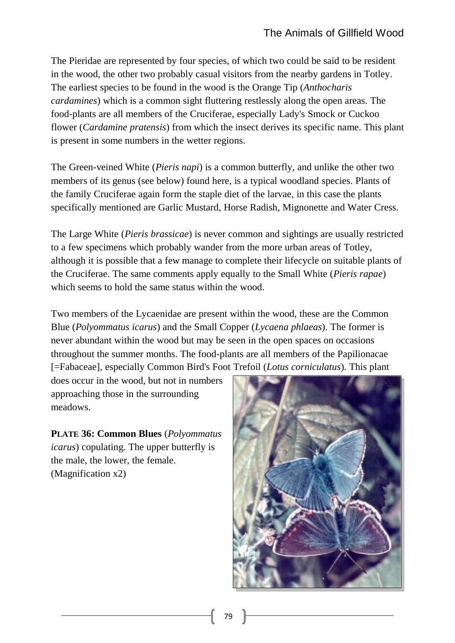The Pieridae are represented by four species, of which two could be said to be resident in the wood, the other two probably casual visitors from the nearby gardens in Totley. The earliest species to be found in the wood is the Orange Tip (*Anthocharis cardamines*) which is a common sight fluttering restlessly along the open areas. The food-plants are all members of the Cruciferae, especially Lady's Smock or Cuckoo flower (*Cardamine pratensis*) from which the insect derives its specific name. This plant is present in some numbers in the wetter regions.

The Green-veined White (*Pieris napi*) is a common butterfly, and unlike the other two members of its genus (see below) found here, is a typical woodland species. Plants of the family Cruciferae again form the staple diet of the larvae, in this case the plants specifically mentioned are Garlic Mustard, Horse Radish, Mignonette and Water Cress.

The Large White (*Pieris brassicae*) is never common and sightings are usually restricted to a few specimens which probably wander from the more urban areas of Totley, although it is possible that a few manage to complete their lifecycle on suitable plants of the Cruciferae. The same comments apply equally to the Small White (*Pieris rapae*) which seems to hold the same status within the wood.

Two members of the Lycaenidae are present within the wood, these are the Common Blue (*Polyommatus icarus*) and the Small Copper (*Lycaena phlaeas*). The former is never abundant within the wood but may be seen in the open spaces on occasions throughout the summer months. The food-plants are all members of the Papilionacae [=Fabaceae], especially Common Bird's Foot Trefoil (*Lotus corniculatus*). This plant

does occur in the wood, but not in numbers approaching those in the surrounding meadows.

**PLATE 36: Common Blues** (*Polyommatus icarus*) copulating. The upper butterfly is the male, the lower, the female. (Magnification x2)

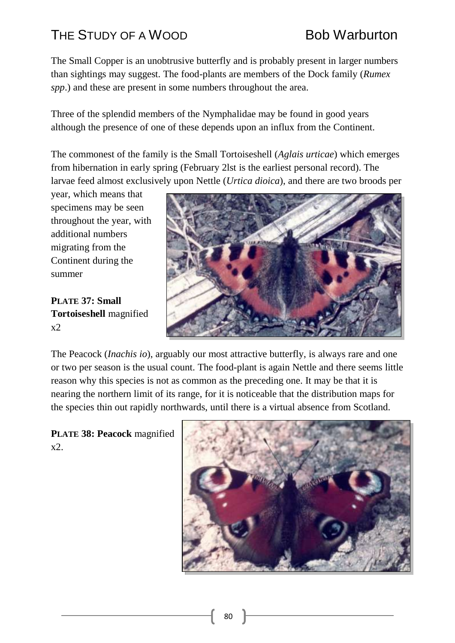# THE STUDY OF A WOOD BOD BOB Warburton

The Small Copper is an unobtrusive butterfly and is probably present in larger numbers than sightings may suggest. The food-plants are members of the Dock family (*Rumex spp*.) and these are present in some numbers throughout the area.

Three of the splendid members of the Nymphalidae may be found in good years although the presence of one of these depends upon an influx from the Continent.

The commonest of the family is the Small Tortoiseshell (*Aglais urticae*) which emerges from hibernation in early spring (February 2lst is the earliest personal record). The larvae feed almost exclusively upon Nettle (*Urtica dioica*), and there are two broods per

year, which means that specimens may be seen throughout the year, with additional numbers migrating from the Continent during the summer

**PLATE 37: Small Tortoiseshell** magnified  $x2$ 



The Peacock (*Inachis io*), arguably our most attractive butterfly, is always rare and one or two per season is the usual count. The food-plant is again Nettle and there seems little reason why this species is not as common as the preceding one. It may be that it is nearing the northern limit of its range, for it is noticeable that the distribution maps for the species thin out rapidly northwards, until there is a virtual absence from Scotland.

**PLATE 38: Peacock** magnified x2.

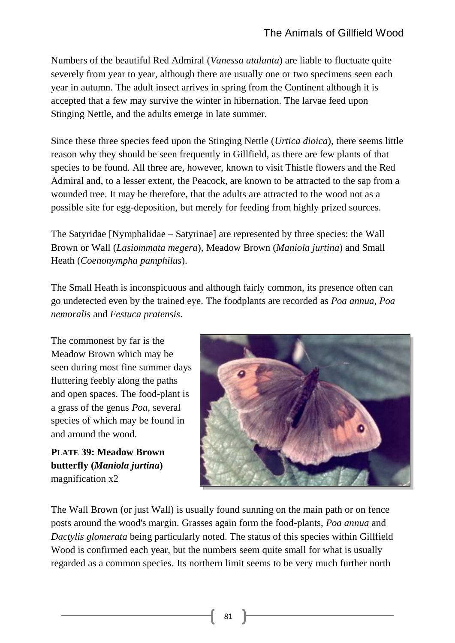Numbers of the beautiful Red Admiral (*Vanessa atalanta*) are liable to fluctuate quite severely from year to year, although there are usually one or two specimens seen each year in autumn. The adult insect arrives in spring from the Continent although it is accepted that a few may survive the winter in hibernation. The larvae feed upon Stinging Nettle, and the adults emerge in late summer.

Since these three species feed upon the Stinging Nettle (*Urtica dioica*), there seems little reason why they should be seen frequently in Gillfield, as there are few plants of that species to be found. All three are, however, known to visit Thistle flowers and the Red Admiral and, to a lesser extent, the Peacock, are known to be attracted to the sap from a wounded tree. It may be therefore, that the adults are attracted to the wood not as a possible site for egg-deposition, but merely for feeding from highly prized sources.

The Satyridae [Nymphalidae – Satyrinae] are represented by three species: the Wall Brown or Wall (*Lasiommata megera*), Meadow Brown (*Maniola jurtina*) and Small Heath (*Coenonympha pamphilus*).

The Small Heath is inconspicuous and although fairly common, its presence often can go undetected even by the trained eye. The foodplants are recorded as *Poa annua*, *Poa nemoralis* and *Festuca pratensis*.

The commonest by far is the Meadow Brown which may be seen during most fine summer days fluttering feebly along the paths and open spaces. The food-plant is a grass of the genus *Poa*, several species of which may be found in and around the wood.

**PLATE 39: Meadow Brown butterfly (***Maniola jurtina***)** magnification x2



The Wall Brown (or just Wall) is usually found sunning on the main path or on fence posts around the wood's margin. Grasses again form the food-plants, *Poa annua* and *Dactylis glomerata* being particularly noted. The status of this species within Gillfield Wood is confirmed each year, but the numbers seem quite small for what is usually regarded as a common species. Its northern limit seems to be very much further north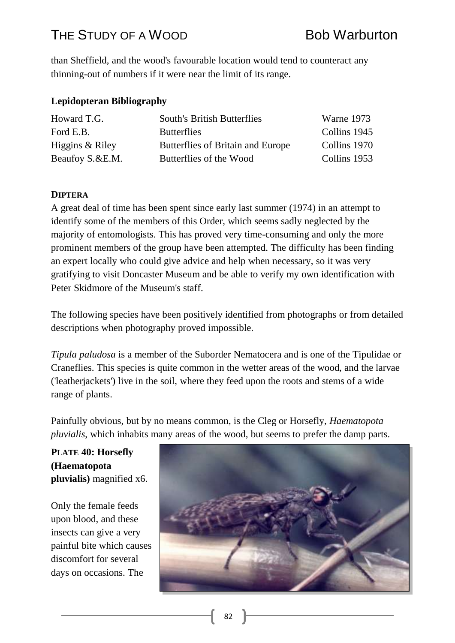## THE STUDY OF A WOOD BOD BOB Warburton

than Sheffield, and the wood's favourable location would tend to counteract any thinning-out of numbers if it were near the limit of its range.

### **Lepidopteran Bibliography**

| Howard T.G.       | <b>South's British Butterflies</b> | Warne 1973   |
|-------------------|------------------------------------|--------------|
| Ford E.B.         | <b>Butterflies</b>                 | Collins 1945 |
| Higgins & Riley   | Butterflies of Britain and Europe  | Collins 1970 |
| Beaufoy S. & E.M. | Butterflies of the Wood            | Collins 1953 |

### **DIPTERA**

A great deal of time has been spent since early last summer (1974) in an attempt to identify some of the members of this Order, which seems sadly neglected by the majority of entomologists. This has proved very time-consuming and only the more prominent members of the group have been attempted. The difficulty has been finding an expert locally who could give advice and help when necessary, so it was very gratifying to visit Doncaster Museum and be able to verify my own identification with Peter Skidmore of the Museum's staff.

The following species have been positively identified from photographs or from detailed descriptions when photography proved impossible.

*Tipula paludosa* is a member of the Suborder Nematocera and is one of the Tipulidae or Craneflies. This species is quite common in the wetter areas of the wood, and the larvae ('leatherjackets') live in the soil, where they feed upon the roots and stems of a wide range of plants.

Painfully obvious, but by no means common, is the Cleg or Horsefly, *Haematopota pluvialis*, which inhabits many areas of the wood, but seems to prefer the damp parts.

**PLATE 40: Horsefly (Haematopota pluvialis)** magnified x6.

Only the female feeds upon blood, and these insects can give a very painful bite which causes discomfort for several days on occasions. The

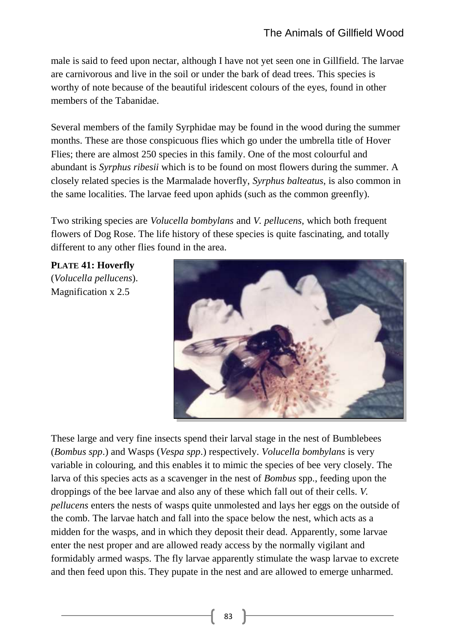male is said to feed upon nectar, although I have not yet seen one in Gillfield. The larvae are carnivorous and live in the soil or under the bark of dead trees. This species is worthy of note because of the beautiful iridescent colours of the eyes, found in other members of the Tabanidae.

Several members of the family Syrphidae may be found in the wood during the summer months. These are those conspicuous flies which go under the umbrella title of Hover Flies; there are almost 250 species in this family. One of the most colourful and abundant is *Syrphus ribesii* which is to be found on most flowers during the summer. A closely related species is the Marmalade hoverfly, *Syrphus balteatus*, is also common in the same localities. The larvae feed upon aphids (such as the common greenfly).

Two striking species are *Volucella bombylans* and *V. pellucens*, which both frequent flowers of Dog Rose. The life history of these species is quite fascinating, and totally different to any other flies found in the area.

**PLATE 41: Hoverfly** (*Volucella pellucens*). Magnification x 2.5



These large and very fine insects spend their larval stage in the nest of Bumblebees (*Bombus spp*.) and Wasps (*Vespa spp*.) respectively. *Volucella bombylans* is very variable in colouring, and this enables it to mimic the species of bee very closely. The larva of this species acts as a scavenger in the nest of *Bombus* spp., feeding upon the droppings of the bee larvae and also any of these which fall out of their cells. *V. pellucens* enters the nests of wasps quite unmolested and lays her eggs on the outside of the comb. The larvae hatch and fall into the space below the nest, which acts as a midden for the wasps, and in which they deposit their dead. Apparently, some larvae enter the nest proper and are allowed ready access by the normally vigilant and formidably armed wasps. The fly larvae apparently stimulate the wasp larvae to excrete and then feed upon this. They pupate in the nest and are allowed to emerge unharmed.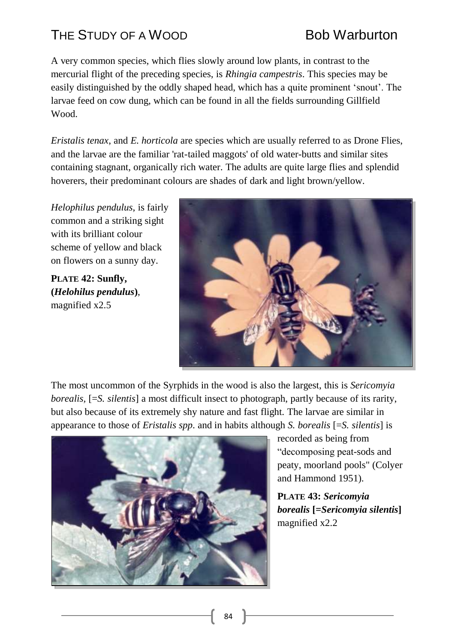# THE STUDY OF A WOOD BOD BOB Warburton

A very common species, which flies slowly around low plants, in contrast to the mercurial flight of the preceding species, is *Rhingia campestris*. This species may be easily distinguished by the oddly shaped head, which has a quite prominent 'snout'. The larvae feed on cow dung, which can be found in all the fields surrounding Gillfield Wood.

*Eristalis tenax*, and *E. horticola* are species which are usually referred to as Drone Flies, and the larvae are the familiar 'rat-tailed maggots' of old water-butts and similar sites containing stagnant, organically rich water. The adults are quite large flies and splendid hoverers, their predominant colours are shades of dark and light brown/yellow.

*Helophilus pendulus*, is fairly common and a striking sight with its brilliant colour scheme of yellow and black on flowers on a sunny day.

**PLATE 42: Sunfly, (***Helohilus pendulus***)**, magnified x2.5



The most uncommon of the Syrphids in the wood is also the largest, this is *Sericomyia borealis,* [=*S. silentis*] a most difficult insect to photograph, partly because of its rarity, but also because of its extremely shy nature and fast flight. The larvae are similar in appearance to those of *Eristalis spp*. and in habits although *S. borealis* [=*S. silentis*] is



recorded as being from "decomposing peat-sods and peaty, moorland pools" (Colyer and Hammond 1951).

**PLATE 43:** *Sericomyia borealis* **[=***Sericomyia silentis***]** magnified x2.2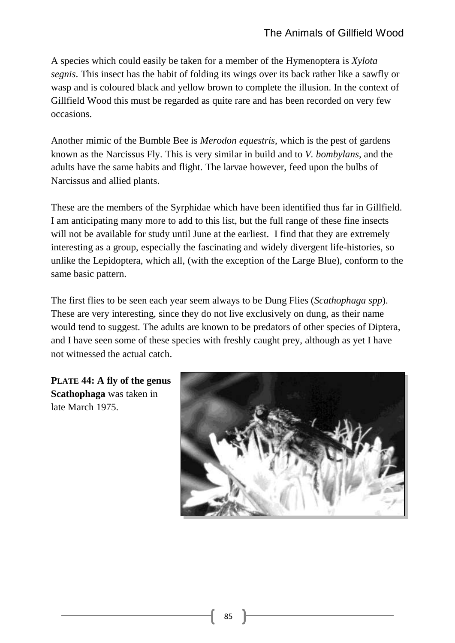A species which could easily be taken for a member of the Hymenoptera is *Xylota segnis*. This insect has the habit of folding its wings over its back rather like a sawfly or wasp and is coloured black and yellow brown to complete the illusion. In the context of Gillfield Wood this must be regarded as quite rare and has been recorded on very few occasions.

Another mimic of the Bumble Bee is *Merodon equestris*, which is the pest of gardens known as the Narcissus Fly. This is very similar in build and to *V. bombylans*, and the adults have the same habits and flight. The larvae however, feed upon the bulbs of Narcissus and allied plants.

These are the members of the Syrphidae which have been identified thus far in Gillfield. I am anticipating many more to add to this list, but the full range of these fine insects will not be available for study until June at the earliest. I find that they are extremely interesting as a group, especially the fascinating and widely divergent life-histories, so unlike the Lepidoptera, which all, (with the exception of the Large Blue), conform to the same basic pattern.

The first flies to be seen each year seem always to be Dung Flies (*Scathophaga spp*). These are very interesting, since they do not live exclusively on dung, as their name would tend to suggest. The adults are known to be predators of other species of Diptera, and I have seen some of these species with freshly caught prey, although as yet I have not witnessed the actual catch.

**PLATE 44: A fly of the genus Scathophaga** was taken in late March 1975.

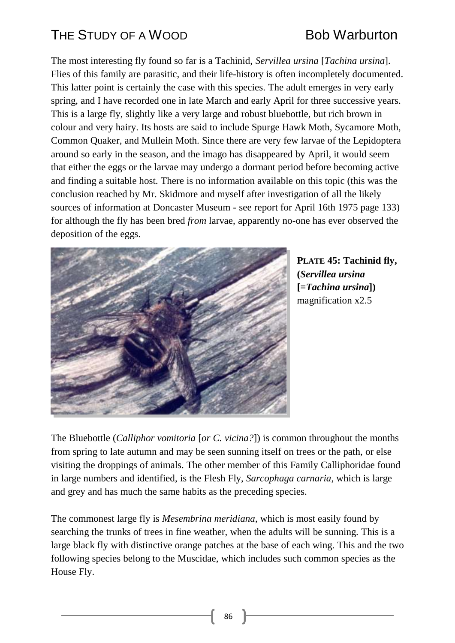The most interesting fly found so far is a Tachinid, *Servillea ursina* [*Tachina ursina*]. Flies of this family are parasitic, and their life-history is often incompletely documented. This latter point is certainly the case with this species. The adult emerges in very early spring, and I have recorded one in late March and early April for three successive years. This is a large fly, slightly like a very large and robust bluebottle, but rich brown in colour and very hairy. Its hosts are said to include Spurge Hawk Moth, Sycamore Moth, Common Quaker, and Mullein Moth. Since there are very few larvae of the Lepidoptera around so early in the season, and the imago has disappeared by April, it would seem that either the eggs or the larvae may undergo a dormant period before becoming active and finding a suitable host. There is no information available on this topic (this was the conclusion reached by Mr. Skidmore and myself after investigation of all the likely sources of information at Doncaster Museum - see report for April 16th 1975 page 133) for although the fly has been bred *from* larvae, apparently no-one has ever observed the deposition of the eggs.



**PLATE 45: Tachinid fly, (***Servillea ursina* **[=***Tachina ursina***])** magnification x2.5

The Bluebottle (*Calliphor vomitoria* [*or C. vicina?*]) is common throughout the months from spring to late autumn and may be seen sunning itself on trees or the path, or else visiting the droppings of animals. The other member of this Family Calliphoridae found in large numbers and identified, is the Flesh Fly, *Sarcophaga carnaria*, which is large and grey and has much the same habits as the preceding species.

The commonest large fly is *Mesembrina meridiana*, which is most easily found by searching the trunks of trees in fine weather, when the adults will be sunning. This is a large black fly with distinctive orange patches at the base of each wing. This and the two following species belong to the Muscidae, which includes such common species as the House Fly.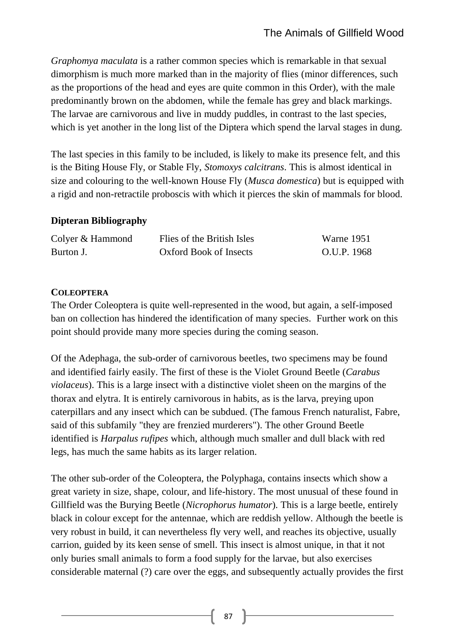*Graphomya maculata* is a rather common species which is remarkable in that sexual dimorphism is much more marked than in the majority of flies (minor differences, such as the proportions of the head and eyes are quite common in this Order), with the male predominantly brown on the abdomen, while the female has grey and black markings. The larvae are carnivorous and live in muddy puddles, in contrast to the last species, which is yet another in the long list of the Diptera which spend the larval stages in dung.

The last species in this family to be included, is likely to make its presence felt, and this is the Biting House Fly, or Stable Fly, *Stomoxys calcitrans*. This is almost identical in size and colouring to the well-known House Fly (*Musca domestica*) but is equipped with a rigid and non-retractile proboscis with which it pierces the skin of mammals for blood.

### **Dipteran Bibliography**

| Colyer & Hammond | Flies of the British Isles | Warne 1951  |
|------------------|----------------------------|-------------|
| Burton J.        | Oxford Book of Insects     | O.U.P. 1968 |

### **COLEOPTERA**

The Order Coleoptera is quite well-represented in the wood, but again, a self-imposed ban on collection has hindered the identification of many species. Further work on this point should provide many more species during the coming season.

Of the Adephaga, the sub-order of carnivorous beetles, two specimens may be found and identified fairly easily. The first of these is the Violet Ground Beetle (*Carabus violaceus*). This is a large insect with a distinctive violet sheen on the margins of the thorax and elytra. It is entirely carnivorous in habits, as is the larva, preying upon caterpillars and any insect which can be subdued. (The famous French naturalist, Fabre, said of this subfamily "they are frenzied murderers"). The other Ground Beetle identified is *Harpalus rufipes* which, although much smaller and dull black with red legs, has much the same habits as its larger relation.

The other sub-order of the Coleoptera, the Polyphaga, contains insects which show a great variety in size, shape, colour, and life-history. The most unusual of these found in Gillfield was the Burying Beetle (*Nicrophorus humator*). This is a large beetle, entirely black in colour except for the antennae, which are reddish yellow. Although the beetle is very robust in build, it can nevertheless fly very well, and reaches its objective, usually carrion, guided by its keen sense of smell. This insect is almost unique, in that it not only buries small animals to form a food supply for the larvae, but also exercises considerable maternal (?) care over the eggs, and subsequently actually provides the first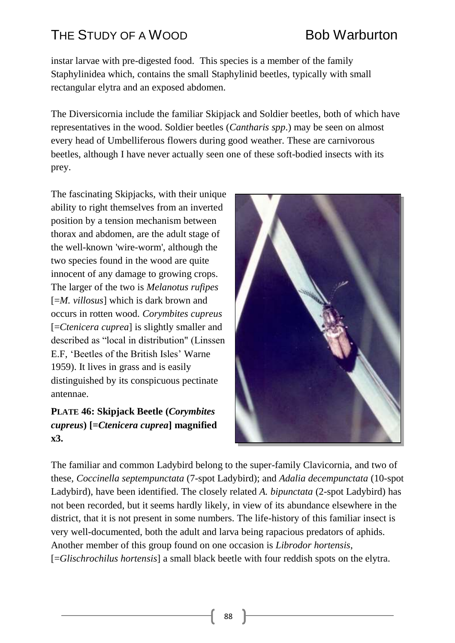# THE STUDY OF A WOOD BOD BOB Warburton

instar larvae with pre-digested food. This species is a member of the family Staphylinidea which, contains the small Staphylinid beetles, typically with small rectangular elytra and an exposed abdomen.

The Diversicornia include the familiar Skipjack and Soldier beetles, both of which have representatives in the wood. Soldier beetles (*Cantharis spp*.) may be seen on almost every head of Umbelliferous flowers during good weather. These are carnivorous beetles, although I have never actually seen one of these soft-bodied insects with its prey.

The fascinating Skipjacks, with their unique ability to right themselves from an inverted position by a tension mechanism between thorax and abdomen, are the adult stage of the well-known 'wire-worm', although the two species found in the wood are quite innocent of any damage to growing crops. The larger of the two is *Melanotus rufipes* [=*M. villosus*] which is dark brown and occurs in rotten wood. *Corymbites cupreus* [=*Ctenicera cuprea*] is slightly smaller and described as "local in distribution" (Linssen E.F, 'Beetles of the British Isles' Warne 1959). It lives in grass and is easily distinguished by its conspicuous pectinate antennae.

### **PLATE 46: Skipjack Beetle (***Corymbites cupreus***) [=***Ctenicera cuprea***] magnified x3.**



The familiar and common Ladybird belong to the super-family Clavicornia, and two of these, *Coccinella septempunctata* (7-spot Ladybird); and *Adalia decempunctata* (10-spot Ladybird), have been identified. The closely related *A. bipunctata* (2-spot Ladybird) has not been recorded, but it seems hardly likely, in view of its abundance elsewhere in the district, that it is not present in some numbers. The life-history of this familiar insect is very well-documented, both the adult and larva being rapacious predators of aphids. Another member of this group found on one occasion is *Librodor hortensis*, [=*Glischrochilus hortensis*] a small black beetle with four reddish spots on the elytra.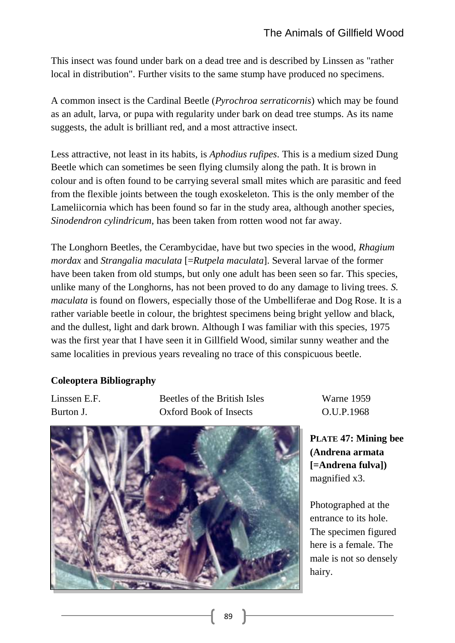This insect was found under bark on a dead tree and is described by Linssen as "rather local in distribution". Further visits to the same stump have produced no specimens.

A common insect is the Cardinal Beetle (*Pyrochroa serraticornis*) which may be found as an adult, larva, or pupa with regularity under bark on dead tree stumps. As its name suggests, the adult is brilliant red, and a most attractive insect.

Less attractive, not least in its habits, is *Aphodius rufipes*. This is a medium sized Dung Beetle which can sometimes be seen flying clumsily along the path. It is brown in colour and is often found to be carrying several small mites which are parasitic and feed from the flexible joints between the tough exoskeleton. This is the only member of the Lameliicornia which has been found so far in the study area, although another species, *Sinodendron cylindricum*, has been taken from rotten wood not far away.

The Longhorn Beetles, the Cerambycidae, have but two species in the wood, *Rhagium mordax* and *Strangalia maculata* [=*Rutpela maculata*]. Several larvae of the former have been taken from old stumps, but only one adult has been seen so far. This species, unlike many of the Longhorns, has not been proved to do any damage to living trees. *S. maculata* is found on flowers, especially those of the Umbelliferae and Dog Rose. It is a rather variable beetle in colour, the brightest specimens being bright yellow and black, and the dullest, light and dark brown. Although I was familiar with this species, 1975 was the first year that I have seen it in Gillfield Wood, similar sunny weather and the same localities in previous years revealing no trace of this conspicuous beetle.

### **Coleoptera Bibliography**

Linssen E.F. Beetles of the British Isles Warne 1959 Burton J. Oxford Book of Insects O.U.P.1968



**PLATE 47: Mining bee (Andrena armata [=Andrena fulva])** magnified x3.

Photographed at the entrance to its hole. The specimen figured here is a female. The male is not so densely hairy.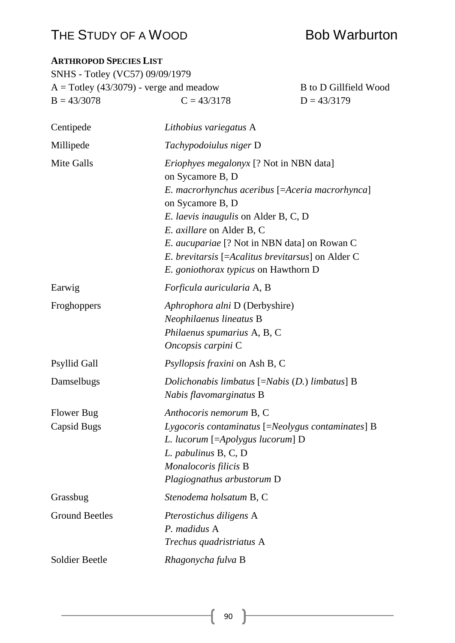## THE STUDY OF A WOOD BOD BOB Warburton

**ARTHROPOD SPECIES LIST**

## SNHS - Totley (VC57) 09/09/1979  $A = \text{Totley } (43/3079)$  - verge and meadow B to D Gillfield Wood  $B = 43/3078$   $C = 43/3178$   $D = 43/3179$ Centipede *Lithobius variegatus* A Millipede *Tachypodoiulus niger* D Mite Galls *Eriophyes megalonyx* [? Not in NBN data] on Sycamore B, D *E. macrorhynchus aceribus* [=*Aceria macrorhynca*] on Sycamore B, D *E. laevis inaugulis* on Alder B, C, D *E. axillare* on Alder B, C *E. aucupariae* [? Not in NBN data] on Rowan C *E. brevitarsis* [=*Acalitus brevitarsus*] on Alder C *E. goniothorax typicus* on Hawthorn D Earwig *Forficula auricularia* A, B Froghoppers *Aphrophora alni* D (Derbyshire) *Neophilaenus lineatus* B *Philaenus spumarius* A, B, C *Oncopsis carpini* C Psyllid Gall *Psyllopsis fraxini* on Ash B, C Damselbugs *Dolichonabis limbatus* [=*Nabis* (*D.*) *limbatus*] B *Nabis flavomarginatus* B Flower Bug *Anthocoris nemorum* B, C Capsid Bugs *Lygocoris contaminatus* [=*Neolygus contaminates*] B *L. lucorum* [=*Apolygus lucorum*] D *L. pabulinus* B, C, D *Monalocoris filicis* B *Plagiognathus arbustorum* D Grassbug *Stenodema holsatum* B, C Ground Beetles *Pterostichus diligens* A *P. madidus* A *Trechus quadristriatus* A Soldier Beetle *Rhagonycha fulva* B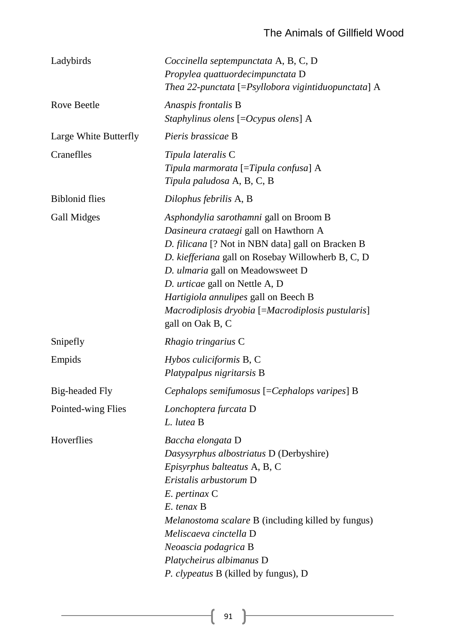| Ladybirds             | Coccinella septempunctata A, B, C, D<br>Propylea quattuordecimpunctata D<br>Thea 22-punctata [=Psyllobora vigintiduopunctata] A                                                                                                                                                                                                                                                  |
|-----------------------|----------------------------------------------------------------------------------------------------------------------------------------------------------------------------------------------------------------------------------------------------------------------------------------------------------------------------------------------------------------------------------|
| Rove Beetle           | Anaspis frontalis B<br>Staphylinus olens $[=Ocypus$ olens] A                                                                                                                                                                                                                                                                                                                     |
| Large White Butterfly | Pieris brassicae B                                                                                                                                                                                                                                                                                                                                                               |
| Craneflles            | Tipula lateralis C<br>Tipula marmorata $[=\]$ Tipula confusa] A<br>Tipula paludosa A, B, C, B                                                                                                                                                                                                                                                                                    |
| <b>Biblonid flies</b> | Dilophus febrilis A, B                                                                                                                                                                                                                                                                                                                                                           |
| Gall Midges           | Asphondylia sarothamni gall on Broom B<br>Dasineura crataegi gall on Hawthorn A<br>D. filicana [? Not in NBN data] gall on Bracken B<br>D. kiefferiana gall on Rosebay Willowherb B, C, D<br>D. ulmaria gall on Meadowsweet D<br>D. urticae gall on Nettle A, D<br>Hartigiola annulipes gall on Beech B<br>Macrodiplosis dryobia [=Macrodiplosis pustularis]<br>gall on Oak B, C |
| Snipefly              | Rhagio tringarius C                                                                                                                                                                                                                                                                                                                                                              |
| Empids                | Hybos culiciformis B, C<br>Platypalpus nigritarsis B                                                                                                                                                                                                                                                                                                                             |
| Big-headed Fly        | Cephalops semifumosus [=Cephalops varipes] B                                                                                                                                                                                                                                                                                                                                     |
| Pointed-wing Flies    | Lonchoptera furcata D<br>L. lutea B                                                                                                                                                                                                                                                                                                                                              |
| Hoverflies            | Baccha elongata D<br>Dasysyrphus albostriatus D (Derbyshire)<br>Episyrphus balteatus A, B, C<br>Eristalis arbustorum D<br>E. pertinax C<br>$E.$ tenax $B$<br><i>Melanostoma scalare B</i> (including killed by fungus)<br>Meliscaeva cinctella D<br>Neoascia podagrica B<br>Platycheirus albimanus D<br><i>P. clypeatus</i> B (killed by fungus), D                              |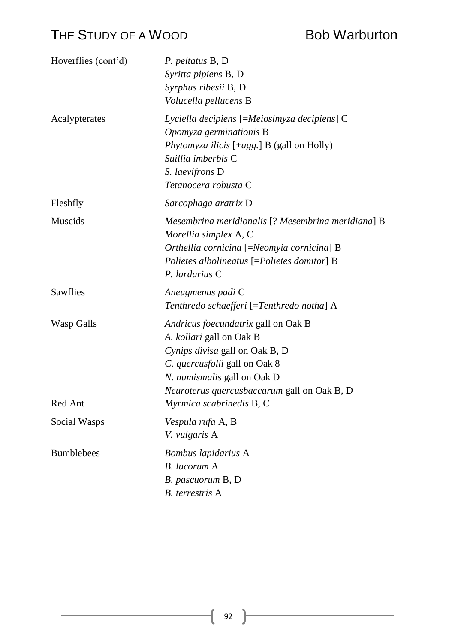| Hoverflies (cont'd) | P. peltatus B, D.<br>Syritta pipiens B, D<br>Syrphus ribesii B, D<br>Volucella pellucens B                                                                                                                              |
|---------------------|-------------------------------------------------------------------------------------------------------------------------------------------------------------------------------------------------------------------------|
| Acalypterates       | Lyciella decipiens [=Meiosimyza decipiens] C<br>Opomyza germinationis B<br><i>Phytomyza ilicis</i> [+ <i>agg.</i> ] <b>B</b> (gall on Holly)<br>Suillia imberbis C<br>S. laevifrons D<br>Tetanocera robusta C           |
| Fleshfly            | Sarcophaga aratrix D                                                                                                                                                                                                    |
| <b>Muscids</b>      | Mesembrina meridionalis [? Mesembrina meridiana] B<br>Morellia simplex A, C<br>Orthellia cornicina [=Neomyia cornicina] B<br>Polietes albolineatus [=Polietes domitor] B<br>P. lardarius C                              |
| Sawflies            | Aneugmenus padi C<br>Tenthredo schaefferi [=Tenthredo notha] A                                                                                                                                                          |
| Wasp Galls          | Andricus foecundatrix gall on Oak B<br>A. kollari gall on Oak B<br>Cynips divisa gall on Oak B, D<br>C. quercusfolii gall on Oak 8<br>N. numismalis gall on Oak D<br><i>Neuroterus quercusbaccarum</i> gall on Oak B, D |
| Red Ant             | Myrmica scabrinedis B, C                                                                                                                                                                                                |
| Social Wasps        | Vespula rufa A, B<br>V. vulgaris A                                                                                                                                                                                      |
| <b>Bumblebees</b>   | Bombus lapidarius A<br>B. lucorum A<br>B. pascuorum B, D<br>B. terrestris A                                                                                                                                             |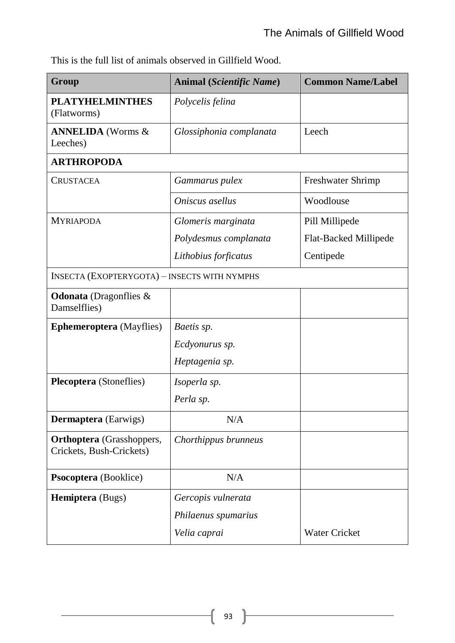This is the full list of animals observed in Gillfield Wood.

| Group                                                        | Animal (Scientific Name) | <b>Common Name/Label</b> |
|--------------------------------------------------------------|--------------------------|--------------------------|
| <b>PLATYHELMINTHES</b><br>(Flatworms)                        | Polycelis felina         |                          |
| <b>ANNELIDA</b> (Worms &<br>Leeches)                         | Glossiphonia complanata  | Leech                    |
| <b>ARTHROPODA</b>                                            |                          |                          |
| <b>CRUSTACEA</b>                                             | Gammarus pulex           | Freshwater Shrimp        |
|                                                              | Oniscus asellus          | Woodlouse                |
| <b>MYRIAPODA</b>                                             | Glomeris marginata       | Pill Millipede           |
|                                                              | Polydesmus complanata    | Flat-Backed Millipede    |
|                                                              | Lithobius forficatus     | Centipede                |
| <b>INSECTA (EXOPTERYGOTA) - INSECTS WITH NYMPHS</b>          |                          |                          |
| <b>Odonata</b> (Dragonflies $\&$<br>Damselflies)             |                          |                          |
| <b>Ephemeroptera</b> (Mayflies)                              | Baetis sp.               |                          |
|                                                              | Ecdyonurus sp.           |                          |
|                                                              | Heptagenia sp.           |                          |
| <b>Plecoptera</b> (Stoneflies)                               | Isoperla sp.             |                          |
|                                                              | Perla sp.                |                          |
| <b>Dermaptera</b> (Earwigs)                                  | N/A                      |                          |
| <b>Orthoptera</b> (Grasshoppers,<br>Crickets, Bush-Crickets) | Chorthippus brunneus     |                          |
| Psocoptera (Booklice)                                        | N/A                      |                          |
| <b>Hemiptera</b> (Bugs)                                      | Gercopis vulnerata       |                          |
|                                                              | Philaenus spumarius      |                          |
|                                                              | Velia caprai             | <b>Water Cricket</b>     |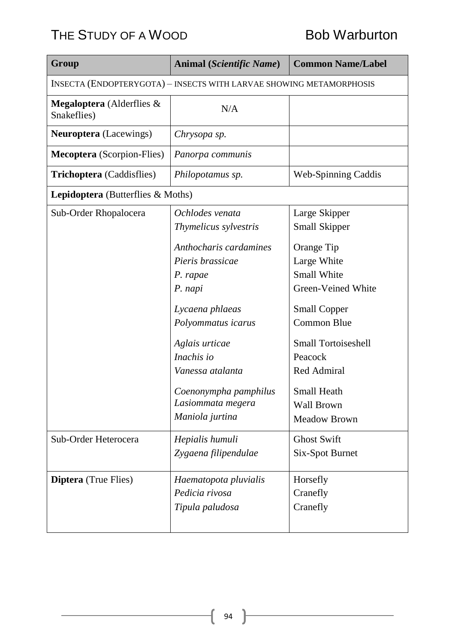| Group                                                               | <b>Animal (Scientific Name)</b>                                                                                                                                                                                                 | <b>Common Name/Label</b>                                                                                                                                                                                                              |
|---------------------------------------------------------------------|---------------------------------------------------------------------------------------------------------------------------------------------------------------------------------------------------------------------------------|---------------------------------------------------------------------------------------------------------------------------------------------------------------------------------------------------------------------------------------|
| INSECTA (ENDOPTERYGOTA) - INSECTS WITH LARVAE SHOWING METAMORPHOSIS |                                                                                                                                                                                                                                 |                                                                                                                                                                                                                                       |
| <b>Megaloptera</b> (Alderflies $\&$<br>Snakeflies)                  | N/A                                                                                                                                                                                                                             |                                                                                                                                                                                                                                       |
| <b>Neuroptera</b> (Lacewings)                                       | Chrysopa sp.                                                                                                                                                                                                                    |                                                                                                                                                                                                                                       |
| <b>Mecoptera</b> (Scorpion-Flies)                                   | Panorpa communis                                                                                                                                                                                                                |                                                                                                                                                                                                                                       |
| <b>Trichoptera</b> (Caddisflies)                                    | Philopotamus sp.                                                                                                                                                                                                                | <b>Web-Spinning Caddis</b>                                                                                                                                                                                                            |
| <b>Lepidoptera</b> (Butterflies $\&$ Moths)                         |                                                                                                                                                                                                                                 |                                                                                                                                                                                                                                       |
| Sub-Order Rhopalocera                                               | Ochlodes venata<br>Thymelicus sylvestris                                                                                                                                                                                        | Large Skipper<br><b>Small Skipper</b>                                                                                                                                                                                                 |
|                                                                     | Anthocharis cardamines<br>Pieris brassicae<br>P. rapae<br>P. napi<br>Lycaena phlaeas<br>Polyommatus icarus<br>Aglais urticae<br>Inachis io<br>Vanessa atalanta<br>Coenonympha pamphilus<br>Lasiommata megera<br>Maniola jurtina | Orange Tip<br>Large White<br><b>Small White</b><br>Green-Veined White<br><b>Small Copper</b><br><b>Common Blue</b><br><b>Small Tortoiseshell</b><br>Peacock<br>Red Admiral<br><b>Small Heath</b><br>Wall Brown<br><b>Meadow Brown</b> |
| Sub-Order Heterocera                                                | Hepialis humuli<br>Zygaena filipendulae                                                                                                                                                                                         | <b>Ghost Swift</b><br><b>Six-Spot Burnet</b>                                                                                                                                                                                          |
| <b>Diptera</b> (True Flies)                                         | Haematopota pluvialis<br>Pedicia rivosa<br>Tipula paludosa                                                                                                                                                                      | Horsefly<br>Cranefly<br>Cranefly                                                                                                                                                                                                      |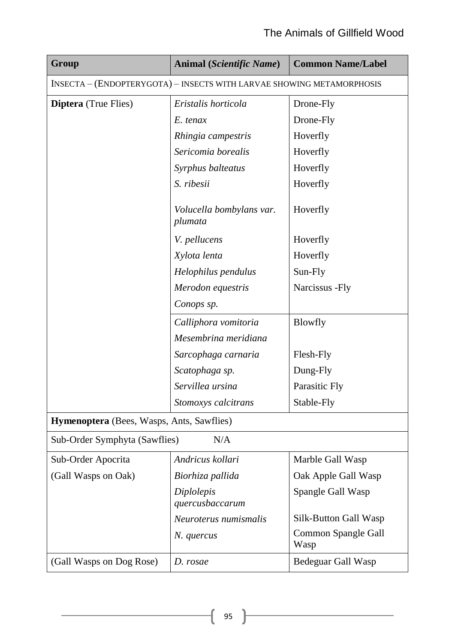## The Animals of Gillfield Wood

| Group                                                                 | <b>Animal (Scientific Name)</b>     | <b>Common Name/Label</b>    |  |
|-----------------------------------------------------------------------|-------------------------------------|-----------------------------|--|
| INSECTA - (ENDOPTERYGOTA) - INSECTS WITH LARVAE SHOWING METAMORPHOSIS |                                     |                             |  |
| <b>Diptera</b> (True Flies)                                           | Eristalis horticola                 | Drone-Fly                   |  |
|                                                                       | E. tenax                            | Drone-Fly                   |  |
|                                                                       | Rhingia campestris                  | Hoverfly                    |  |
|                                                                       | Sericomia borealis                  | Hoverfly                    |  |
|                                                                       | Syrphus balteatus                   | Hoverfly                    |  |
|                                                                       | S. ribesii                          | Hoverfly                    |  |
|                                                                       | Volucella bombylans var.<br>plumata | Hoverfly                    |  |
|                                                                       | V. pellucens                        | Hoverfly                    |  |
|                                                                       | Xylota lenta                        | Hoverfly                    |  |
|                                                                       | Helophilus pendulus                 | Sun-Fly                     |  |
|                                                                       | Merodon equestris                   | Narcissus - Fly             |  |
|                                                                       | Conops sp.                          |                             |  |
|                                                                       | Calliphora vomitoria                | <b>Blowfly</b>              |  |
|                                                                       | Mesembrina meridiana                |                             |  |
|                                                                       | Sarcophaga carnaria                 | Flesh-Fly                   |  |
|                                                                       | Scatophaga sp.                      | Dung-Fly                    |  |
|                                                                       | Servillea ursina                    | Parasitic Fly               |  |
|                                                                       | Stomoxys calcitrans                 | Stable-Fly                  |  |
| Hymenoptera (Bees, Wasps, Ants, Sawflies)                             |                                     |                             |  |
| Sub-Order Symphyta (Sawflies)<br>N/A                                  |                                     |                             |  |
| Sub-Order Apocrita                                                    | Andricus kollari                    | Marble Gall Wasp            |  |
| (Gall Wasps on Oak)                                                   | Biorhiza pallida                    | Oak Apple Gall Wasp         |  |
|                                                                       | Diplolepis<br>quercusbaccarum       | Spangle Gall Wasp           |  |
|                                                                       | Neuroterus numismalis               | Silk-Button Gall Wasp       |  |
|                                                                       | N. quercus                          | Common Spangle Gall<br>Wasp |  |
| (Gall Wasps on Dog Rose)                                              | D. rosae                            | Bedeguar Gall Wasp          |  |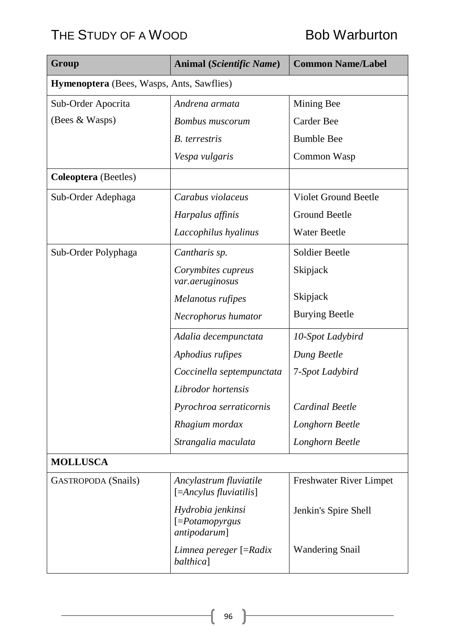| Group                                     | Animal (Scientific Name)                                | <b>Common Name/Label</b>    |  |
|-------------------------------------------|---------------------------------------------------------|-----------------------------|--|
| Hymenoptera (Bees, Wasps, Ants, Sawflies) |                                                         |                             |  |
| Sub-Order Apocrita                        | Andrena armata                                          | Mining Bee                  |  |
| (Bees & Wasps)                            | <b>Bombus</b> muscorum                                  | <b>Carder Bee</b>           |  |
|                                           | <b>B.</b> terrestris                                    | <b>Bumble Bee</b>           |  |
|                                           | Vespa vulgaris                                          | Common Wasp                 |  |
| <b>Coleoptera</b> (Beetles)               |                                                         |                             |  |
| Sub-Order Adephaga                        | Carabus violaceus                                       | <b>Violet Ground Beetle</b> |  |
|                                           | Harpalus affinis                                        | <b>Ground Beetle</b>        |  |
|                                           | Laccophilus hyalinus                                    | <b>Water Beetle</b>         |  |
| Sub-Order Polyphaga                       | Cantharis sp.                                           | Soldier Beetle              |  |
|                                           | Corymbites cupreus<br>var.aeruginosus                   | Skipjack                    |  |
|                                           | Melanotus rufipes                                       | Skipjack                    |  |
|                                           | Necrophorus humator                                     | <b>Burying Beetle</b>       |  |
|                                           | Adalia decempunctata                                    | 10-Spot Ladybird            |  |
|                                           | Aphodius rufipes                                        | Dung Beetle                 |  |
|                                           | Coccinella septempunctata                               | 7-Spot Ladybird             |  |
|                                           | Librodor hortensis                                      |                             |  |
|                                           | Pyrochroa serraticornis                                 | <b>Cardinal Beetle</b>      |  |
|                                           | Rhagium mordax                                          | Longhorn Beetle             |  |
|                                           | Strangalia maculata                                     | Longhorn Beetle             |  |
| <b>MOLLUSCA</b>                           |                                                         |                             |  |
| <b>GASTROPODA</b> (Snails)                | Ancylastrum fluviatile<br>$[=\!\!Ancylus$ fluviatilis]  | Freshwater River Limpet     |  |
|                                           | Hydrobia jenkinsi<br>$[=Potamopy{}rgus$<br>antipodarum] | Jenkin's Spire Shell        |  |
|                                           | Limnea pereger [=Radix<br><i>balthica</i> ]             | <b>Wandering Snail</b>      |  |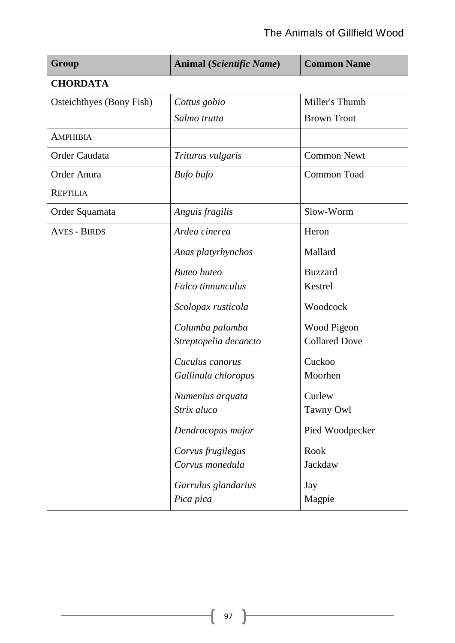## The Animals of Gillfield Wood

| Group                    | Animal (Scientific Name) | <b>Common Name</b>   |
|--------------------------|--------------------------|----------------------|
| <b>CHORDATA</b>          |                          |                      |
| Osteichthyes (Bony Fish) | Cottus gobio             | Miller's Thumb       |
|                          | Salmo trutta             | <b>Brown Trout</b>   |
| <b>AMPHIBIA</b>          |                          |                      |
| Order Caudata            | Triturus vulgaris        | <b>Common Newt</b>   |
| Order Anura              | Bufo bufo                | Common Toad          |
| <b>REPTILIA</b>          |                          |                      |
| Order Squamata           | Anguis fragilis          | Slow-Worm            |
| <b>AVES - BIRDS</b>      | Ardea cinerea            | Heron                |
|                          | Anas platyrhynchos       | Mallard              |
|                          | <b>Buteo</b> buteo       | <b>Buzzard</b>       |
|                          | Falco tinnunculus        | Kestrel              |
|                          | Scolopax rusticola       | Woodcock             |
|                          | Columba palumba          | Wood Pigeon          |
|                          | Streptopelia decaocto    | <b>Collared Dove</b> |
|                          | Cuculus canorus          | Cuckoo               |
|                          | Gallinula chloropus      | Moorhen              |
|                          | Numenius arquata         | Curlew               |
|                          | Strix aluco              | Tawny Owl            |
|                          | Dendrocopus major        | Pied Woodpecker      |
|                          | Corvus frugilegus        | Rook                 |
|                          | Corvus monedula          | Jackdaw              |
|                          | Garrulus glandarius      | Jay                  |
|                          | Pica pica                | Magpie               |

ſ